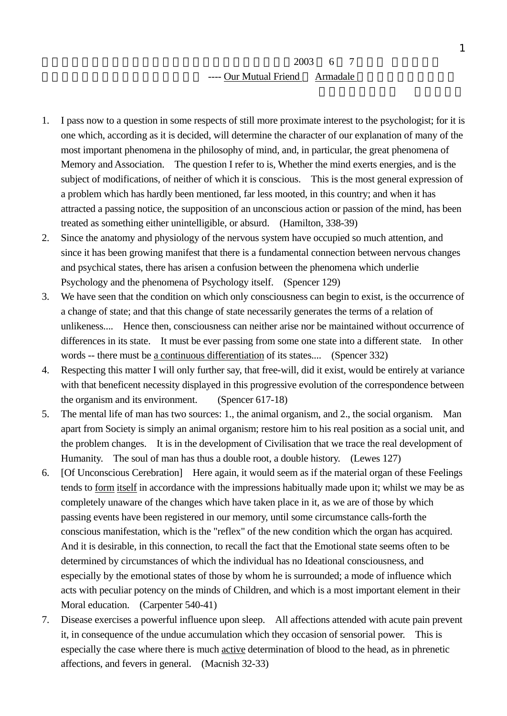- 1. I pass now to a question in some respects of still more proximate interest to the psychologist; for it is one which, according as it is decided, will determine the character of our explanation of many of the most important phenomena in the philosophy of mind, and, in particular, the great phenomena of Memory and Association. The question I refer to is, Whether the mind exerts energies, and is the subject of modifications, of neither of which it is conscious. This is the most general expression of a problem which has hardly been mentioned, far less mooted, in this country; and when it has attracted a passing notice, the supposition of an unconscious action or passion of the mind, has been treated as something either unintelligible, or absurd. (Hamilton, 338-39)
- 2. Since the anatomy and physiology of the nervous system have occupied so much attention, and since it has been growing manifest that there is a fundamental connection between nervous changes and psychical states, there has arisen a confusion between the phenomena which underlie Psychology and the phenomena of Psychology itself. (Spencer 129)
- 3. We have seen that the condition on which only consciousness can begin to exist, is the occurrence of a change of state; and that this change of state necessarily generates the terms of a relation of unlikeness.... Hence then, consciousness can neither arise nor be maintained without occurrence of differences in its state. It must be ever passing from some one state into a different state. In other words -- there must be <u>a continuous differentiation</u> of its states.... (Spencer 332)
- 4. Respecting this matter I will only further say, that free-will, did it exist, would be entirely at variance with that beneficent necessity displayed in this progressive evolution of the correspondence between the organism and its environment. (Spencer 617-18)
- 5. The mental life of man has two sources: 1., the animal organism, and 2., the social organism. Man apart from Society is simply an animal organism; restore him to his real position as a social unit, and the problem changes. It is in the development of Civilisation that we trace the real development of Humanity. The soul of man has thus a double root, a double history. (Lewes 127)
- 6. [Of Unconscious Cerebration] Here again, it would seem as if the material organ of these Feelings tends to form itself in accordance with the impressions habitually made upon it; whilst we may be as completely unaware of the changes which have taken place in it, as we are of those by which passing events have been registered in our memory, until some circumstance calls-forth the conscious manifestation, which is the "reflex" of the new condition which the organ has acquired. And it is desirable, in this connection, to recall the fact that the Emotional state seems often to be determined by circumstances of which the individual has no Ideational consciousness, and especially by the emotional states of those by whom he is surrounded; a mode of influence which acts with peculiar potency on the minds of Children, and which is a most important element in their Moral education. (Carpenter 540-41)
- 7. Disease exercises a powerful influence upon sleep. All affections attended with acute pain prevent it, in consequence of the undue accumulation which they occasion of sensorial power. This is especially the case where there is much active determination of blood to the head, as in phrenetic affections, and fevers in general. (Macnish 32-33)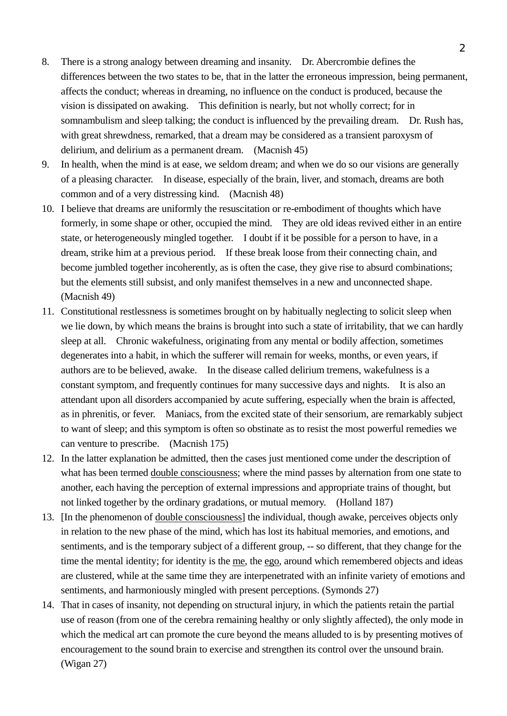- 8. There is a strong analogy between dreaming and insanity. Dr. Abercrombie defines the differences between the two states to be, that in the latter the erroneous impression, being permanent, affects the conduct; whereas in dreaming, no influence on the conduct is produced, because the vision is dissipated on awaking. This definition is nearly, but not wholly correct; for in somnambulism and sleep talking; the conduct is influenced by the prevailing dream. Dr. Rush has, with great shrewdness, remarked, that a dream may be considered as a transient paroxysm of delirium, and delirium as a permanent dream. (Macnish 45)
- 9. In health, when the mind is at ease, we seldom dream; and when we do so our visions are generally of a pleasing character. In disease, especially of the brain, liver, and stomach, dreams are both common and of a very distressing kind. (Macnish 48)
- 10. I believe that dreams are uniformly the resuscitation or re-embodiment of thoughts which have formerly, in some shape or other, occupied the mind. They are old ideas revived either in an entire state, or heterogeneously mingled together. I doubt if it be possible for a person to have, in a dream, strike him at a previous period. If these break loose from their connecting chain, and become jumbled together incoherently, as is often the case, they give rise to absurd combinations; but the elements still subsist, and only manifest themselves in a new and unconnected shape. (Macnish 49)
- 11. Constitutional restlessness is sometimes brought on by habitually neglecting to solicit sleep when we lie down, by which means the brains is brought into such a state of irritability, that we can hardly sleep at all. Chronic wakefulness, originating from any mental or bodily affection, sometimes degenerates into a habit, in which the sufferer will remain for weeks, months, or even years, if authors are to be believed, awake. In the disease called delirium tremens, wakefulness is a constant symptom, and frequently continues for many successive days and nights. It is also an attendant upon all disorders accompanied by acute suffering, especially when the brain is affected, as in phrenitis, or fever. Maniacs, from the excited state of their sensorium, are remarkably subject to want of sleep; and this symptom is often so obstinate as to resist the most powerful remedies we can venture to prescribe. (Macnish 175)
- 12. In the latter explanation be admitted, then the cases just mentioned come under the description of what has been termed double consciousness; where the mind passes by alternation from one state to another, each having the perception of external impressions and appropriate trains of thought, but not linked together by the ordinary gradations, or mutual memory. (Holland 187)
- 13. [In the phenomenon of double consciousness] the individual, though awake, perceives objects only in relation to the new phase of the mind, which has lost its habitual memories, and emotions, and sentiments, and is the temporary subject of a different group, -- so different, that they change for the time the mental identity; for identity is the me, the ego, around which remembered objects and ideas are clustered, while at the same time they are interpenetrated with an infinite variety of emotions and sentiments, and harmoniously mingled with present perceptions. (Symonds 27)
- 14. That in cases of insanity, not depending on structural injury, in which the patients retain the partial use of reason (from one of the cerebra remaining healthy or only slightly affected), the only mode in which the medical art can promote the cure beyond the means alluded to is by presenting motives of encouragement to the sound brain to exercise and strengthen its control over the unsound brain. (Wigan 27)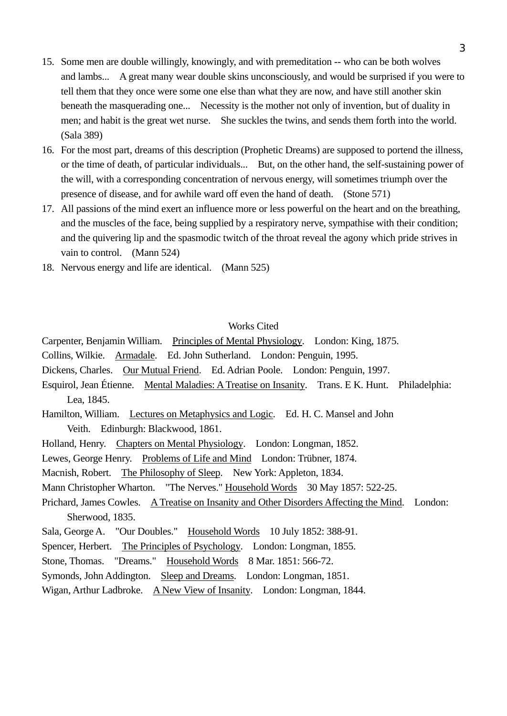- 15. Some men are double willingly, knowingly, and with premeditation -- who can be both wolves and lambs... A great many wear double skins unconsciously, and would be surprised if you were to tell them that they once were some one else than what they are now, and have still another skin beneath the masquerading one... Necessity is the mother not only of invention, but of duality in men; and habit is the great wet nurse. She suckles the twins, and sends them forth into the world. (Sala 389)
- 16. For the most part, dreams of this description (Prophetic Dreams) are supposed to portend the illness, or the time of death, of particular individuals... But, on the other hand, the self-sustaining power of the will, with a corresponding concentration of nervous energy, will sometimes triumph over the presence of disease, and for awhile ward off even the hand of death. (Stone 571)
- 17. All passions of the mind exert an influence more or less powerful on the heart and on the breathing, and the muscles of the face, being supplied by a respiratory nerve, sympathise with their condition; and the quivering lip and the spasmodic twitch of the throat reveal the agony which pride strives in vain to control. (Mann 524)
- 18. Nervous energy and life are identical. (Mann 525)

## Works Cited

Carpenter, Benjamin William. Principles of Mental Physiology. London: King, 1875.

Collins, Wilkie. Armadale. Ed. John Sutherland. London: Penguin, 1995.

Dickens, Charles. Our Mutual Friend. Ed. Adrian Poole. London: Penguin, 1997.

- Esquirol, Jean Étienne. Mental Maladies: A Treatise on Insanity. Trans. E K. Hunt. Philadelphia: Lea, 1845.
- Hamilton, William. Lectures on Metaphysics and Logic. Ed. H. C. Mansel and John Veith. Edinburgh: Blackwood, 1861.
- Holland, Henry. Chapters on Mental Physiology. London: Longman, 1852.
- Lewes, George Henry. Problems of Life and Mind London: Trübner, 1874.

Macnish, Robert. The Philosophy of Sleep. New York: Appleton, 1834.

- Mann Christopher Wharton. "The Nerves." Household Words 30 May 1857: 522-25.
- Prichard, James Cowles. A Treatise on Insanity and Other Disorders Affecting the Mind. London: Sherwood, 1835.
- Sala, George A. "Our Doubles." Household Words 10 July 1852: 388-91.
- Spencer, Herbert. The Principles of Psychology. London: Longman, 1855.
- Stone, Thomas. "Dreams." Household Words 8 Mar. 1851: 566-72.
- Symonds, John Addington. Sleep and Dreams. London: Longman, 1851.
- Wigan, Arthur Ladbroke. A New View of Insanity. London: Longman, 1844.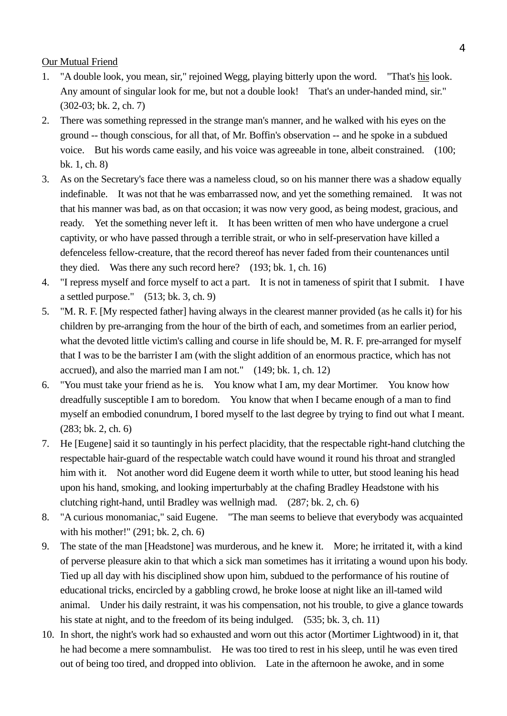Our Mutual Friend

- 1. "A double look, you mean, sir," rejoined Wegg, playing bitterly upon the word. "That's his look. Any amount of singular look for me, but not a double look! That's an under-handed mind, sir." (302-03; bk. 2, ch. 7)
- 2. There was something repressed in the strange man's manner, and he walked with his eyes on the ground -- though conscious, for all that, of Mr. Boffin's observation -- and he spoke in a subdued voice. But his words came easily, and his voice was agreeable in tone, albeit constrained. (100; bk. 1, ch. 8)
- 3. As on the Secretary's face there was a nameless cloud, so on his manner there was a shadow equally indefinable. It was not that he was embarrassed now, and yet the something remained. It was not that his manner was bad, as on that occasion; it was now very good, as being modest, gracious, and ready. Yet the something never left it. It has been written of men who have undergone a cruel captivity, or who have passed through a terrible strait, or who in self-preservation have killed a defenceless fellow-creature, that the record thereof has never faded from their countenances until they died. Was there any such record here? (193; bk. 1, ch. 16)
- 4. "I repress myself and force myself to act a part. It is not in tameness of spirit that I submit. I have a settled purpose." (513; bk. 3, ch. 9)
- 5. "M. R. F. [My respected father] having always in the clearest manner provided (as he calls it) for his children by pre-arranging from the hour of the birth of each, and sometimes from an earlier period, what the devoted little victim's calling and course in life should be, M. R. F. pre-arranged for myself that I was to be the barrister I am (with the slight addition of an enormous practice, which has not accrued), and also the married man I am not." (149; bk. 1, ch. 12)
- 6. "You must take your friend as he is. You know what I am, my dear Mortimer. You know how dreadfully susceptible I am to boredom. You know that when I became enough of a man to find myself an embodied conundrum, I bored myself to the last degree by trying to find out what I meant. (283; bk. 2, ch. 6)
- 7. He [Eugene] said it so tauntingly in his perfect placidity, that the respectable right-hand clutching the respectable hair-guard of the respectable watch could have wound it round his throat and strangled him with it. Not another word did Eugene deem it worth while to utter, but stood leaning his head upon his hand, smoking, and looking imperturbably at the chafing Bradley Headstone with his clutching right-hand, until Bradley was wellnigh mad. (287; bk. 2, ch. 6)
- 8. "A curious monomaniac," said Eugene. "The man seems to believe that everybody was acquainted with his mother!" (291; bk. 2, ch. 6)
- 9. The state of the man [Headstone] was murderous, and he knew it. More; he irritated it, with a kind of perverse pleasure akin to that which a sick man sometimes has it irritating a wound upon his body. Tied up all day with his disciplined show upon him, subdued to the performance of his routine of educational tricks, encircled by a gabbling crowd, he broke loose at night like an ill-tamed wild animal. Under his daily restraint, it was his compensation, not his trouble, to give a glance towards his state at night, and to the freedom of its being indulged. (535; bk. 3, ch. 11)
- 10. In short, the night's work had so exhausted and worn out this actor (Mortimer Lightwood) in it, that he had become a mere somnambulist. He was too tired to rest in his sleep, until he was even tired out of being too tired, and dropped into oblivion. Late in the afternoon he awoke, and in some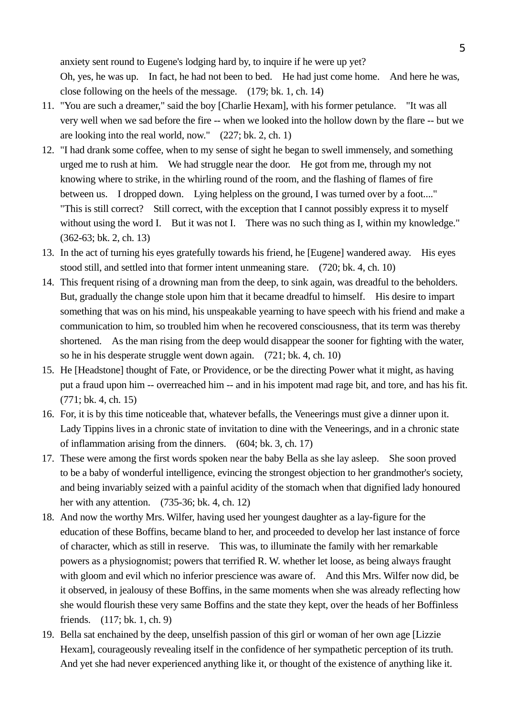anxiety sent round to Eugene's lodging hard by, to inquire if he were up yet? Oh, yes, he was up. In fact, he had not been to bed. He had just come home. And here he was, close following on the heels of the message. (179; bk. 1, ch. 14)

- 11. "You are such a dreamer," said the boy [Charlie Hexam], with his former petulance. "It was all very well when we sad before the fire -- when we looked into the hollow down by the flare -- but we are looking into the real world, now." (227; bk. 2, ch. 1)
- 12. "I had drank some coffee, when to my sense of sight he began to swell immensely, and something urged me to rush at him. We had struggle near the door. He got from me, through my not knowing where to strike, in the whirling round of the room, and the flashing of flames of fire between us. I dropped down. Lying helpless on the ground, I was turned over by a foot...." "This is still correct? Still correct, with the exception that I cannot possibly express it to myself without using the word I. But it was not I. There was no such thing as I, within my knowledge." (362-63; bk. 2, ch. 13)
- 13. In the act of turning his eyes gratefully towards his friend, he [Eugene] wandered away. His eyes stood still, and settled into that former intent unmeaning stare. (720; bk. 4, ch. 10)
- 14. This frequent rising of a drowning man from the deep, to sink again, was dreadful to the beholders. But, gradually the change stole upon him that it became dreadful to himself. His desire to impart something that was on his mind, his unspeakable yearning to have speech with his friend and make a communication to him, so troubled him when he recovered consciousness, that its term was thereby shortened. As the man rising from the deep would disappear the sooner for fighting with the water, so he in his desperate struggle went down again. (721; bk. 4, ch. 10)
- 15. He [Headstone] thought of Fate, or Providence, or be the directing Power what it might, as having put a fraud upon him -- overreached him -- and in his impotent mad rage bit, and tore, and has his fit. (771; bk. 4, ch. 15)
- 16. For, it is by this time noticeable that, whatever befalls, the Veneerings must give a dinner upon it. Lady Tippins lives in a chronic state of invitation to dine with the Veneerings, and in a chronic state of inflammation arising from the dinners. (604; bk. 3, ch. 17)
- 17. These were among the first words spoken near the baby Bella as she lay asleep. She soon proved to be a baby of wonderful intelligence, evincing the strongest objection to her grandmother's society, and being invariably seized with a painful acidity of the stomach when that dignified lady honoured her with any attention. (735-36; bk. 4, ch. 12)
- 18. And now the worthy Mrs. Wilfer, having used her youngest daughter as a lay-figure for the education of these Boffins, became bland to her, and proceeded to develop her last instance of force of character, which as still in reserve. This was, to illuminate the family with her remarkable powers as a physiognomist; powers that terrified R. W. whether let loose, as being always fraught with gloom and evil which no inferior prescience was aware of. And this Mrs. Wilfer now did, be it observed, in jealousy of these Boffins, in the same moments when she was already reflecting how she would flourish these very same Boffins and the state they kept, over the heads of her Boffinless friends. (117; bk. 1, ch. 9)
- 19. Bella sat enchained by the deep, unselfish passion of this girl or woman of her own age [Lizzie Hexam], courageously revealing itself in the confidence of her sympathetic perception of its truth. And yet she had never experienced anything like it, or thought of the existence of anything like it.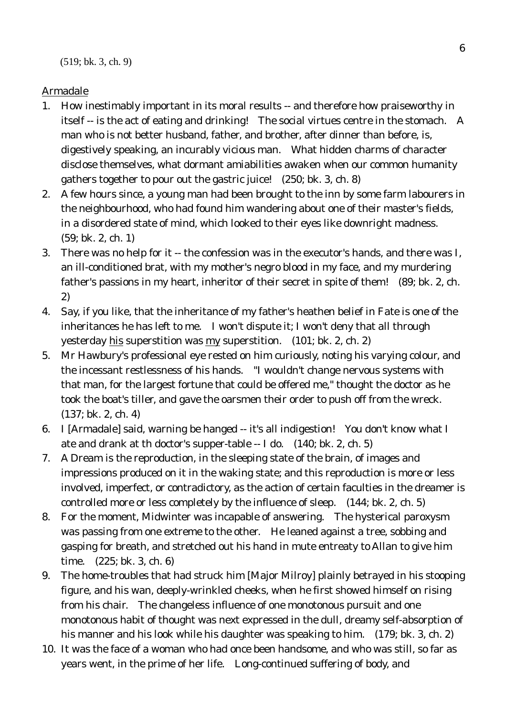## Armadale

- 1. How inestimably important in its moral results -- and therefore how praiseworthy in itself -- is the act of eating and drinking! The social virtues centre in the stomach. A man who is not better husband, father, and brother, after dinner than before, is, digestively speaking, an incurably vicious man. What hidden charms of character disclose themselves, what dormant amiabilities awaken when our common humanity gathers together to pour out the gastric juice! (250; bk. 3, ch. 8)
- 2. A few hours since, a young man had been brought to the inn by some farm labourers in the neighbourhood, who had found him wandering about one of their master's fields, in a disordered state of mind, which looked to their eyes like downright madness. (59; bk. 2, ch. 1)
- 3. There was no help for it -- the confession was in the executor's hands, and there was I, an ill-conditioned brat, with my mother's negro blood in my face, and my murdering father's passions in my heart, inheritor of their secret in spite of them! (89; bk. 2, ch. 2)
- 4. Say, if you like, that the inheritance of my father's heathen belief in Fate is one of the inheritances he has left to me. I won't dispute it; I won't deny that all through yesterday his superstition was my superstition. (101; bk. 2, ch. 2)
- 5. Mr Hawbury's professional eye rested on him curiously, noting his varying colour, and the incessant restlessness of his hands. "I wouldn't change nervous systems with that man, for the largest fortune that could be offered me," thought the doctor as he took the boat's tiller, and gave the oarsmen their order to push off from the wreck. (137; bk. 2, ch. 4)
- 6. I [Armadale] said, warning be hanged -- it's all indigestion! You don't know what I ate and drank at th doctor's supper-table -- I do. (140; bk. 2, ch. 5)
- 7. A Dream is the reproduction, in the sleeping state of the brain, of images and impressions produced on it in the waking state; and this reproduction is more or less involved, imperfect, or contradictory, as the action of certain faculties in the dreamer is controlled more or less completely by the influence of sleep. (144; bk. 2, ch. 5)
- 8. For the moment, Midwinter was incapable of answering. The hysterical paroxysm was passing from one extreme to the other. He leaned against a tree, sobbing and gasping for breath, and stretched out his hand in mute entreaty to Allan to give him time. (225; bk. 3, ch. 6)
- 9. The home-troubles that had struck him [Major Milroy] plainly betrayed in his stooping figure, and his wan, deeply-wrinkled cheeks, when he first showed himself on rising from his chair. The changeless influence of one monotonous pursuit and one monotonous habit of thought was next expressed in the dull, dreamy self-absorption of his manner and his look while his daughter was speaking to him. (179; bk. 3, ch. 2)
- 10. It was the face of a woman who had once been handsome, and who was still, so far as years went, in the prime of her life. Long-continued suffering of body, and